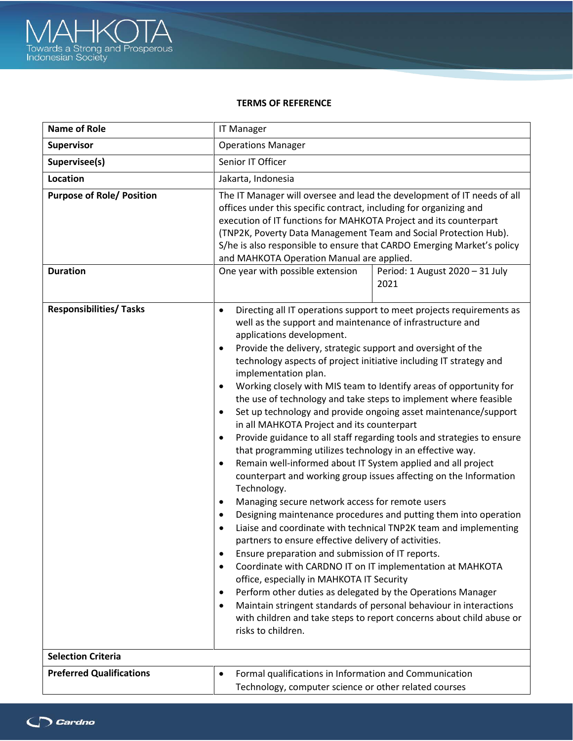

## **TERMS OF REFERENCE**

| <b>Name of Role</b>                                 | <b>IT Manager</b>                                                                                                                                                                                                                                                                                                                                                                                                                                                                                                                                                                                                                                                                                                                                                                                                                                                                                                                                                                                                                                                                                                                                                                                                                                                                                                                                                                                                                                                                                                                                                                                                                       |  |
|-----------------------------------------------------|-----------------------------------------------------------------------------------------------------------------------------------------------------------------------------------------------------------------------------------------------------------------------------------------------------------------------------------------------------------------------------------------------------------------------------------------------------------------------------------------------------------------------------------------------------------------------------------------------------------------------------------------------------------------------------------------------------------------------------------------------------------------------------------------------------------------------------------------------------------------------------------------------------------------------------------------------------------------------------------------------------------------------------------------------------------------------------------------------------------------------------------------------------------------------------------------------------------------------------------------------------------------------------------------------------------------------------------------------------------------------------------------------------------------------------------------------------------------------------------------------------------------------------------------------------------------------------------------------------------------------------------------|--|
| Supervisor                                          | <b>Operations Manager</b>                                                                                                                                                                                                                                                                                                                                                                                                                                                                                                                                                                                                                                                                                                                                                                                                                                                                                                                                                                                                                                                                                                                                                                                                                                                                                                                                                                                                                                                                                                                                                                                                               |  |
| Supervisee(s)                                       | Senior IT Officer                                                                                                                                                                                                                                                                                                                                                                                                                                                                                                                                                                                                                                                                                                                                                                                                                                                                                                                                                                                                                                                                                                                                                                                                                                                                                                                                                                                                                                                                                                                                                                                                                       |  |
| <b>Location</b>                                     | Jakarta, Indonesia                                                                                                                                                                                                                                                                                                                                                                                                                                                                                                                                                                                                                                                                                                                                                                                                                                                                                                                                                                                                                                                                                                                                                                                                                                                                                                                                                                                                                                                                                                                                                                                                                      |  |
| <b>Purpose of Role/ Position</b><br><b>Duration</b> | The IT Manager will oversee and lead the development of IT needs of all<br>offices under this specific contract, including for organizing and<br>execution of IT functions for MAHKOTA Project and its counterpart<br>(TNP2K, Poverty Data Management Team and Social Protection Hub).<br>S/he is also responsible to ensure that CARDO Emerging Market's policy<br>and MAHKOTA Operation Manual are applied.<br>One year with possible extension<br>Period: 1 August 2020 - 31 July<br>2021                                                                                                                                                                                                                                                                                                                                                                                                                                                                                                                                                                                                                                                                                                                                                                                                                                                                                                                                                                                                                                                                                                                                            |  |
| <b>Responsibilities/ Tasks</b>                      | Directing all IT operations support to meet projects requirements as<br>$\bullet$<br>well as the support and maintenance of infrastructure and<br>applications development.<br>Provide the delivery, strategic support and oversight of the<br>٠<br>technology aspects of project initiative including IT strategy and<br>implementation plan.<br>Working closely with MIS team to Identify areas of opportunity for<br>٠<br>the use of technology and take steps to implement where feasible<br>Set up technology and provide ongoing asset maintenance/support<br>$\bullet$<br>in all MAHKOTA Project and its counterpart<br>Provide guidance to all staff regarding tools and strategies to ensure<br>٠<br>that programming utilizes technology in an effective way.<br>Remain well-informed about IT System applied and all project<br>$\bullet$<br>counterpart and working group issues affecting on the Information<br>Technology.<br>Managing secure network access for remote users<br>$\bullet$<br>Designing maintenance procedures and putting them into operation<br>٠<br>Liaise and coordinate with technical TNP2K team and implementing<br>٠<br>partners to ensure effective delivery of activities.<br>Ensure preparation and submission of IT reports.<br>٠<br>Coordinate with CARDNO IT on IT implementation at MAHKOTA<br>٠<br>office, especially in MAHKOTA IT Security<br>Perform other duties as delegated by the Operations Manager<br>٠<br>Maintain stringent standards of personal behaviour in interactions<br>٠<br>with children and take steps to report concerns about child abuse or<br>risks to children. |  |
| <b>Selection Criteria</b>                           |                                                                                                                                                                                                                                                                                                                                                                                                                                                                                                                                                                                                                                                                                                                                                                                                                                                                                                                                                                                                                                                                                                                                                                                                                                                                                                                                                                                                                                                                                                                                                                                                                                         |  |
| <b>Preferred Qualifications</b>                     | Formal qualifications in Information and Communication<br>$\bullet$<br>Technology, computer science or other related courses                                                                                                                                                                                                                                                                                                                                                                                                                                                                                                                                                                                                                                                                                                                                                                                                                                                                                                                                                                                                                                                                                                                                                                                                                                                                                                                                                                                                                                                                                                            |  |